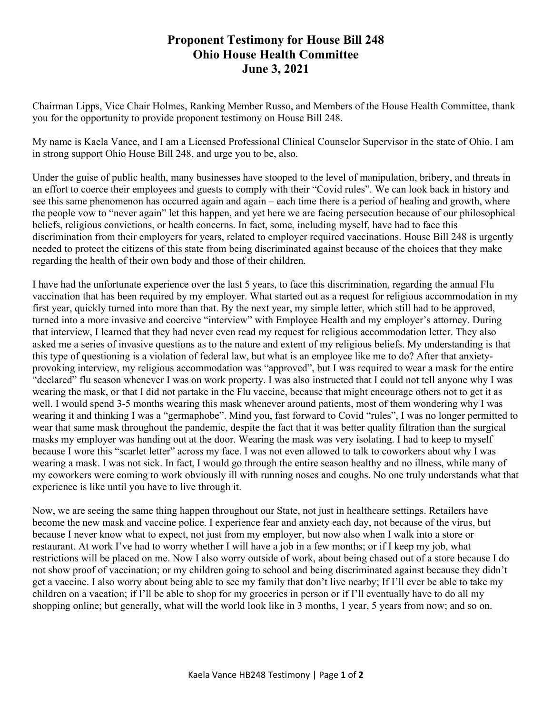## **Proponent Testimony for House Bill 248 Ohio House Health Committee June 3, 2021**

Chairman Lipps, Vice Chair Holmes, Ranking Member Russo, and Members of the House Health Committee, thank you for the opportunity to provide proponent testimony on House Bill 248.

My name is Kaela Vance, and I am a Licensed Professional Clinical Counselor Supervisor in the state of Ohio. I am in strong support Ohio House Bill 248, and urge you to be, also.

Under the guise of public health, many businesses have stooped to the level of manipulation, bribery, and threats in an effort to coerce their employees and guests to comply with their "Covid rules". We can look back in history and see this same phenomenon has occurred again and again – each time there is a period of healing and growth, where the people vow to "never again" let this happen, and yet here we are facing persecution because of our philosophical beliefs, religious convictions, or health concerns. In fact, some, including myself, have had to face this discrimination from their employers for years, related to employer required vaccinations. House Bill 248 is urgently needed to protect the citizens of this state from being discriminated against because of the choices that they make regarding the health of their own body and those of their children.

I have had the unfortunate experience over the last 5 years, to face this discrimination, regarding the annual Flu vaccination that has been required by my employer. What started out as a request for religious accommodation in my first year, quickly turned into more than that. By the next year, my simple letter, which still had to be approved, turned into a more invasive and coercive "interview" with Employee Health and my employer's attorney. During that interview, I learned that they had never even read my request for religious accommodation letter. They also asked me a series of invasive questions as to the nature and extent of my religious beliefs. My understanding is that this type of questioning is a violation of federal law, but what is an employee like me to do? After that anxietyprovoking interview, my religious accommodation was "approved", but I was required to wear a mask for the entire "declared" flu season whenever I was on work property. I was also instructed that I could not tell anyone why I was wearing the mask, or that I did not partake in the Flu vaccine, because that might encourage others not to get it as well. I would spend 3-5 months wearing this mask whenever around patients, most of them wondering why I was wearing it and thinking I was a "germaphobe". Mind you, fast forward to Covid "rules", I was no longer permitted to wear that same mask throughout the pandemic, despite the fact that it was better quality filtration than the surgical masks my employer was handing out at the door. Wearing the mask was very isolating. I had to keep to myself because I wore this "scarlet letter" across my face. I was not even allowed to talk to coworkers about why I was wearing a mask. I was not sick. In fact, I would go through the entire season healthy and no illness, while many of my coworkers were coming to work obviously ill with running noses and coughs. No one truly understands what that experience is like until you have to live through it.

Now, we are seeing the same thing happen throughout our State, not just in healthcare settings. Retailers have become the new mask and vaccine police. I experience fear and anxiety each day, not because of the virus, but because I never know what to expect, not just from my employer, but now also when I walk into a store or restaurant. At work I've had to worry whether I will have a job in a few months; or if I keep my job, what restrictions will be placed on me. Now I also worry outside of work, about being chased out of a store because I do not show proof of vaccination; or my children going to school and being discriminated against because they didn't get a vaccine. I also worry about being able to see my family that don't live nearby; If I'll ever be able to take my children on a vacation; if I'll be able to shop for my groceries in person or if I'll eventually have to do all my shopping online; but generally, what will the world look like in 3 months, 1 year, 5 years from now; and so on.